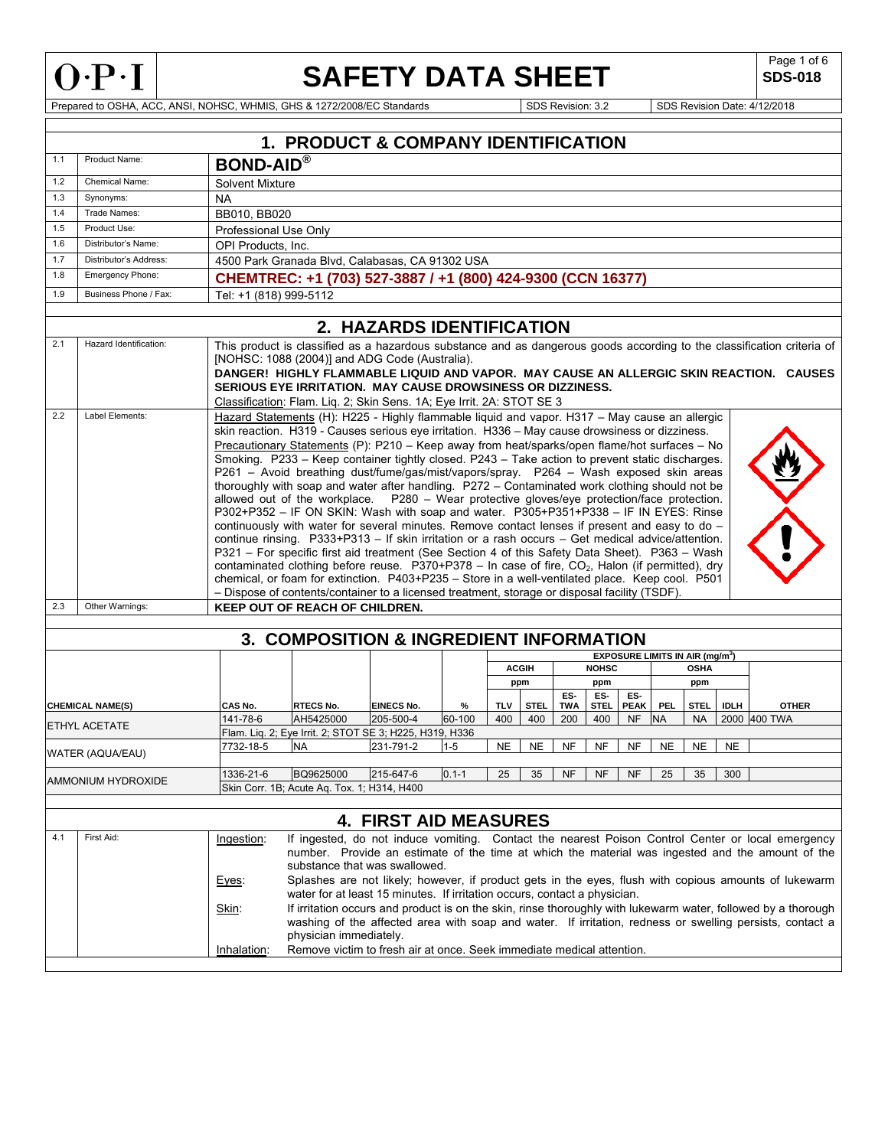

Г

# **SAFETY DATA SHEET** SDS-018

**SDS-018** 

Prepared to OSHA, ACC, ANSI, NOHSC, WHMIS, GHS & 1272/2008/EC Standards SDS Revision: 3.2 SDS Revision Date: 4/12/2018

|                                             | 1. PRODUCT & COMPANY IDENTIFICATION       |                                                                                                                                                                                                                                                                                                                                                                                                                                                                                                                                                                                                                                                                                                                                                                                                                                                                                                                                                                                                                                                                                                                                                                                                                                                                                                             |                                                                       |                              |           |              |             |                   |                    |                                             |           |             |             |              |
|---------------------------------------------|-------------------------------------------|-------------------------------------------------------------------------------------------------------------------------------------------------------------------------------------------------------------------------------------------------------------------------------------------------------------------------------------------------------------------------------------------------------------------------------------------------------------------------------------------------------------------------------------------------------------------------------------------------------------------------------------------------------------------------------------------------------------------------------------------------------------------------------------------------------------------------------------------------------------------------------------------------------------------------------------------------------------------------------------------------------------------------------------------------------------------------------------------------------------------------------------------------------------------------------------------------------------------------------------------------------------------------------------------------------------|-----------------------------------------------------------------------|------------------------------|-----------|--------------|-------------|-------------------|--------------------|---------------------------------------------|-----------|-------------|-------------|--------------|
| 1.1                                         | Product Name:                             | <b>BOND-AID®</b>                                                                                                                                                                                                                                                                                                                                                                                                                                                                                                                                                                                                                                                                                                                                                                                                                                                                                                                                                                                                                                                                                                                                                                                                                                                                                            |                                                                       |                              |           |              |             |                   |                    |                                             |           |             |             |              |
| 1.2                                         | <b>Chemical Name:</b>                     | Solvent Mixture                                                                                                                                                                                                                                                                                                                                                                                                                                                                                                                                                                                                                                                                                                                                                                                                                                                                                                                                                                                                                                                                                                                                                                                                                                                                                             |                                                                       |                              |           |              |             |                   |                    |                                             |           |             |             |              |
| 1.3                                         | Synonyms:                                 | NA.                                                                                                                                                                                                                                                                                                                                                                                                                                                                                                                                                                                                                                                                                                                                                                                                                                                                                                                                                                                                                                                                                                                                                                                                                                                                                                         |                                                                       |                              |           |              |             |                   |                    |                                             |           |             |             |              |
| 1.4                                         | Trade Names:                              | BB010, BB020                                                                                                                                                                                                                                                                                                                                                                                                                                                                                                                                                                                                                                                                                                                                                                                                                                                                                                                                                                                                                                                                                                                                                                                                                                                                                                |                                                                       |                              |           |              |             |                   |                    |                                             |           |             |             |              |
| 1.5                                         | Product Use:                              | Professional Use Only                                                                                                                                                                                                                                                                                                                                                                                                                                                                                                                                                                                                                                                                                                                                                                                                                                                                                                                                                                                                                                                                                                                                                                                                                                                                                       |                                                                       |                              |           |              |             |                   |                    |                                             |           |             |             |              |
| 1.6                                         | Distributor's Name:                       | OPI Products, Inc.                                                                                                                                                                                                                                                                                                                                                                                                                                                                                                                                                                                                                                                                                                                                                                                                                                                                                                                                                                                                                                                                                                                                                                                                                                                                                          |                                                                       |                              |           |              |             |                   |                    |                                             |           |             |             |              |
| 1.7                                         | Distributor's Address:                    |                                                                                                                                                                                                                                                                                                                                                                                                                                                                                                                                                                                                                                                                                                                                                                                                                                                                                                                                                                                                                                                                                                                                                                                                                                                                                                             | 4500 Park Granada Blvd, Calabasas, CA 91302 USA                       |                              |           |              |             |                   |                    |                                             |           |             |             |              |
| 1.8                                         | <b>Emergency Phone:</b>                   |                                                                                                                                                                                                                                                                                                                                                                                                                                                                                                                                                                                                                                                                                                                                                                                                                                                                                                                                                                                                                                                                                                                                                                                                                                                                                                             | CHEMTREC: +1 (703) 527-3887 / +1 (800) 424-9300 (CCN 16377)           |                              |           |              |             |                   |                    |                                             |           |             |             |              |
| 1.9                                         | Business Phone / Fax:                     | Tel: +1 (818) 999-5112                                                                                                                                                                                                                                                                                                                                                                                                                                                                                                                                                                                                                                                                                                                                                                                                                                                                                                                                                                                                                                                                                                                                                                                                                                                                                      |                                                                       |                              |           |              |             |                   |                    |                                             |           |             |             |              |
|                                             |                                           |                                                                                                                                                                                                                                                                                                                                                                                                                                                                                                                                                                                                                                                                                                                                                                                                                                                                                                                                                                                                                                                                                                                                                                                                                                                                                                             |                                                                       |                              |           |              |             |                   |                    |                                             |           |             |             |              |
|                                             |                                           |                                                                                                                                                                                                                                                                                                                                                                                                                                                                                                                                                                                                                                                                                                                                                                                                                                                                                                                                                                                                                                                                                                                                                                                                                                                                                                             |                                                                       | 2. HAZARDS IDENTIFICATION    |           |              |             |                   |                    |                                             |           |             |             |              |
| 2.1<br>2.2                                  | Hazard Identification:<br>Label Elements: | This product is classified as a hazardous substance and as dangerous goods according to the classification criteria of<br>[NOHSC: 1088 (2004)] and ADG Code (Australia).<br>DANGER! HIGHLY FLAMMABLE LIQUID AND VAPOR. MAY CAUSE AN ALLERGIC SKIN REACTION. CAUSES<br><b>SERIOUS EYE IRRITATION. MAY CAUSE DROWSINESS OR DIZZINESS.</b><br>Classification: Flam. Liq. 2; Skin Sens. 1A; Eye Irrit. 2A: STOT SE 3<br>Hazard Statements (H): H225 - Highly flammable liquid and vapor. H317 - May cause an allergic                                                                                                                                                                                                                                                                                                                                                                                                                                                                                                                                                                                                                                                                                                                                                                                           |                                                                       |                              |           |              |             |                   |                    |                                             |           |             |             |              |
|                                             |                                           | skin reaction. H319 - Causes serious eye irritation. H336 - May cause drowsiness or dizziness.<br>Precautionary Statements (P): P210 - Keep away from heat/sparks/open flame/hot surfaces - No<br>Smoking. P233 - Keep container tightly closed. P243 - Take action to prevent static discharges.<br>P261 - Avoid breathing dust/fume/gas/mist/vapors/spray. P264 - Wash exposed skin areas<br>thoroughly with soap and water after handling. P272 - Contaminated work clothing should not be<br>allowed out of the workplace.  P280 - Wear protective gloves/eye protection/face protection.<br>P302+P352 - IF ON SKIN: Wash with soap and water. P305+P351+P338 - IF IN EYES: Rinse<br>continuously with water for several minutes. Remove contact lenses if present and easy to do -<br>continue rinsing. P333+P313 - If skin irritation or a rash occurs - Get medical advice/attention.<br>P321 - For specific first aid treatment (See Section 4 of this Safety Data Sheet). P363 - Wash<br>contaminated clothing before reuse. $P370+P378 - \ln$ case of fire, $CO2$ , Halon (if permitted), dry<br>chemical, or foam for extinction. P403+P235 - Store in a well-ventilated place. Keep cool. P501<br>- Dispose of contents/container to a licensed treatment, storage or disposal facility (TSDF). |                                                                       |                              |           |              |             |                   |                    |                                             |           |             |             |              |
| 2.3                                         | Other Warnings:                           |                                                                                                                                                                                                                                                                                                                                                                                                                                                                                                                                                                                                                                                                                                                                                                                                                                                                                                                                                                                                                                                                                                                                                                                                                                                                                                             | <b>KEEP OUT OF REACH OF CHILDREN.</b>                                 |                              |           |              |             |                   |                    |                                             |           |             |             |              |
|                                             |                                           |                                                                                                                                                                                                                                                                                                                                                                                                                                                                                                                                                                                                                                                                                                                                                                                                                                                                                                                                                                                                                                                                                                                                                                                                                                                                                                             |                                                                       |                              |           |              |             |                   |                    |                                             |           |             |             |              |
|                                             |                                           |                                                                                                                                                                                                                                                                                                                                                                                                                                                                                                                                                                                                                                                                                                                                                                                                                                                                                                                                                                                                                                                                                                                                                                                                                                                                                                             | 3. COMPOSITION & INGREDIENT INFORMATION                               |                              |           |              |             |                   |                    |                                             |           |             |             |              |
|                                             |                                           |                                                                                                                                                                                                                                                                                                                                                                                                                                                                                                                                                                                                                                                                                                                                                                                                                                                                                                                                                                                                                                                                                                                                                                                                                                                                                                             |                                                                       |                              |           |              |             |                   |                    | EXPOSURE LIMITS IN AIR (mg/m <sup>3</sup> ) |           |             |             |              |
|                                             |                                           |                                                                                                                                                                                                                                                                                                                                                                                                                                                                                                                                                                                                                                                                                                                                                                                                                                                                                                                                                                                                                                                                                                                                                                                                                                                                                                             |                                                                       |                              |           | <b>ACGIH</b> |             |                   | <b>NOHSC</b>       |                                             |           | <b>OSHA</b> |             |              |
|                                             |                                           |                                                                                                                                                                                                                                                                                                                                                                                                                                                                                                                                                                                                                                                                                                                                                                                                                                                                                                                                                                                                                                                                                                                                                                                                                                                                                                             |                                                                       |                              |           |              | ppm         |                   | ppm                |                                             |           | ppm         |             |              |
|                                             | <b>CHEMICAL NAME(S)</b>                   | CAS No.                                                                                                                                                                                                                                                                                                                                                                                                                                                                                                                                                                                                                                                                                                                                                                                                                                                                                                                                                                                                                                                                                                                                                                                                                                                                                                     | <b>RTECS No.</b>                                                      | EINECS No.                   | %         | <b>TLV</b>   | <b>STEL</b> | ES-<br><b>TWA</b> | ES-<br><b>STEL</b> | ES-<br><b>PEAK</b>                          | PEL       | <b>STEL</b> | <b>IDLH</b> | <b>OTHER</b> |
|                                             |                                           | 141-78-6                                                                                                                                                                                                                                                                                                                                                                                                                                                                                                                                                                                                                                                                                                                                                                                                                                                                                                                                                                                                                                                                                                                                                                                                                                                                                                    | AH5425000                                                             | 205-500-4                    | 60-100    | 400          | 400         | 200               | 400                | <b>NF</b>                                   | <b>NA</b> | <b>NA</b>   |             | 2000 400 TWA |
|                                             | ETHYL ACETATE                             |                                                                                                                                                                                                                                                                                                                                                                                                                                                                                                                                                                                                                                                                                                                                                                                                                                                                                                                                                                                                                                                                                                                                                                                                                                                                                                             | Flam. Liq. 2; Eye Irrit. 2; STOT SE 3; H225, H319, H336               |                              |           |              |             |                   |                    |                                             |           |             |             |              |
|                                             | WATER (AQUA/EAU)                          | 7732-18-5                                                                                                                                                                                                                                                                                                                                                                                                                                                                                                                                                                                                                                                                                                                                                                                                                                                                                                                                                                                                                                                                                                                                                                                                                                                                                                   | <b>NA</b>                                                             | 231-791-2                    | $1 - 5$   | <b>NE</b>    | <b>NE</b>   | NF                | NF                 | NF                                          | <b>NE</b> | NE.         | <b>NE</b>   |              |
|                                             |                                           |                                                                                                                                                                                                                                                                                                                                                                                                                                                                                                                                                                                                                                                                                                                                                                                                                                                                                                                                                                                                                                                                                                                                                                                                                                                                                                             |                                                                       |                              |           |              |             |                   |                    |                                             |           |             |             |              |
|                                             | AMMONIUM HYDROXIDE                        | 1336-21-6                                                                                                                                                                                                                                                                                                                                                                                                                                                                                                                                                                                                                                                                                                                                                                                                                                                                                                                                                                                                                                                                                                                                                                                                                                                                                                   | BQ9625000                                                             | 215-647-6                    | $0.1 - 1$ | 25           | 35          | <b>NF</b>         | <b>NF</b>          | <b>NF</b>                                   | 25        | 35          | 300         |              |
| Skin Corr. 1B; Acute Aq. Tox. 1; H314, H400 |                                           |                                                                                                                                                                                                                                                                                                                                                                                                                                                                                                                                                                                                                                                                                                                                                                                                                                                                                                                                                                                                                                                                                                                                                                                                                                                                                                             |                                                                       |                              |           |              |             |                   |                    |                                             |           |             |             |              |
|                                             |                                           |                                                                                                                                                                                                                                                                                                                                                                                                                                                                                                                                                                                                                                                                                                                                                                                                                                                                                                                                                                                                                                                                                                                                                                                                                                                                                                             |                                                                       |                              |           |              |             |                   |                    |                                             |           |             |             |              |
|                                             |                                           |                                                                                                                                                                                                                                                                                                                                                                                                                                                                                                                                                                                                                                                                                                                                                                                                                                                                                                                                                                                                                                                                                                                                                                                                                                                                                                             |                                                                       | <b>4. FIRST AID MEASURES</b> |           |              |             |                   |                    |                                             |           |             |             |              |
| 4.1                                         | First Aid:                                | If ingested, do not induce vomiting. Contact the nearest Poison Control Center or local emergency<br>Ingestion:<br>number. Provide an estimate of the time at which the material was ingested and the amount of the<br>substance that was swallowed.<br>Splashes are not likely; however, if product gets in the eyes, flush with copious amounts of lukewarm<br>Eyes:<br>water for at least 15 minutes. If irritation occurs, contact a physician.<br>If irritation occurs and product is on the skin, rinse thoroughly with lukewarm water, followed by a thorough<br>Skin:<br>washing of the affected area with soap and water. If irritation, redness or swelling persists, contact a<br>physician immediately.                                                                                                                                                                                                                                                                                                                                                                                                                                                                                                                                                                                         |                                                                       |                              |           |              |             |                   |                    |                                             |           |             |             |              |
|                                             |                                           | Inhalation:                                                                                                                                                                                                                                                                                                                                                                                                                                                                                                                                                                                                                                                                                                                                                                                                                                                                                                                                                                                                                                                                                                                                                                                                                                                                                                 | Remove victim to fresh air at once. Seek immediate medical attention. |                              |           |              |             |                   |                    |                                             |           |             |             |              |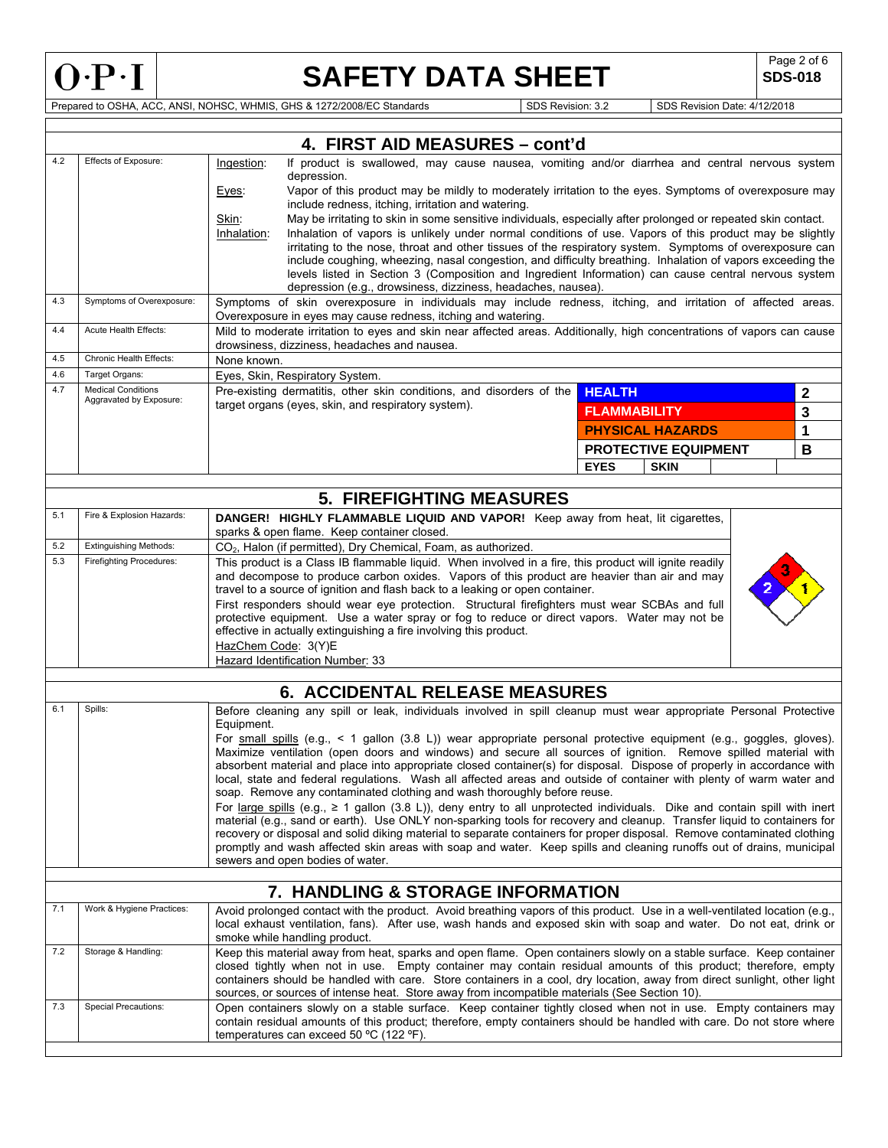

Г

# **SAFETY DATA SHEET** SDS-018

**SDS-018** 

Prepared to OSHA, ACC, ANSI, NOHSC, WHMIS, GHS & 1272/2008/EC Standards SDS Revision: 3.2 SDS Revision Date: 4/12/2018

|            | 4. FIRST AID MEASURES - cont'd                                                                                                                                                                                                                                                                                                                                             |                                                                                                                                                                                                                                                                                                                                                                                                                                                                     |                     |                             |  |   |  |
|------------|----------------------------------------------------------------------------------------------------------------------------------------------------------------------------------------------------------------------------------------------------------------------------------------------------------------------------------------------------------------------------|---------------------------------------------------------------------------------------------------------------------------------------------------------------------------------------------------------------------------------------------------------------------------------------------------------------------------------------------------------------------------------------------------------------------------------------------------------------------|---------------------|-----------------------------|--|---|--|
| 4.2        | Effects of Exposure:                                                                                                                                                                                                                                                                                                                                                       | If product is swallowed, may cause nausea, vomiting and/or diarrhea and central nervous system<br>Ingestion:<br>depression.                                                                                                                                                                                                                                                                                                                                         |                     |                             |  |   |  |
|            |                                                                                                                                                                                                                                                                                                                                                                            | Vapor of this product may be mildly to moderately irritation to the eyes. Symptoms of overexposure may<br>Eyes:<br>include redness, itching, irritation and watering.                                                                                                                                                                                                                                                                                               |                     |                             |  |   |  |
|            |                                                                                                                                                                                                                                                                                                                                                                            | May be irritating to skin in some sensitive individuals, especially after prolonged or repeated skin contact.<br>Skin:                                                                                                                                                                                                                                                                                                                                              |                     |                             |  |   |  |
|            |                                                                                                                                                                                                                                                                                                                                                                            | Inhalation of vapors is unlikely under normal conditions of use. Vapors of this product may be slightly<br>Inhalation:<br>irritating to the nose, throat and other tissues of the respiratory system. Symptoms of overexposure can                                                                                                                                                                                                                                  |                     |                             |  |   |  |
|            |                                                                                                                                                                                                                                                                                                                                                                            | include coughing, wheezing, nasal congestion, and difficulty breathing. Inhalation of vapors exceeding the                                                                                                                                                                                                                                                                                                                                                          |                     |                             |  |   |  |
|            |                                                                                                                                                                                                                                                                                                                                                                            | levels listed in Section 3 (Composition and Ingredient Information) can cause central nervous system<br>depression (e.g., drowsiness, dizziness, headaches, nausea).                                                                                                                                                                                                                                                                                                |                     |                             |  |   |  |
| 4.3        | Symptoms of Overexposure:                                                                                                                                                                                                                                                                                                                                                  | Symptoms of skin overexposure in individuals may include redness, itching, and irritation of affected areas.<br>Overexposure in eyes may cause redness, itching and watering.                                                                                                                                                                                                                                                                                       |                     |                             |  |   |  |
| 4.4        | Acute Health Effects:                                                                                                                                                                                                                                                                                                                                                      | Mild to moderate irritation to eyes and skin near affected areas. Additionally, high concentrations of vapors can cause<br>drowsiness, dizziness, headaches and nausea.                                                                                                                                                                                                                                                                                             |                     |                             |  |   |  |
| 4.5        | Chronic Health Effects:                                                                                                                                                                                                                                                                                                                                                    | None known.                                                                                                                                                                                                                                                                                                                                                                                                                                                         |                     |                             |  |   |  |
| 4.6<br>4.7 | Target Organs:<br><b>Medical Conditions</b>                                                                                                                                                                                                                                                                                                                                | Eyes, Skin, Respiratory System.                                                                                                                                                                                                                                                                                                                                                                                                                                     |                     |                             |  |   |  |
|            | Aggravated by Exposure:                                                                                                                                                                                                                                                                                                                                                    | Pre-existing dermatitis, other skin conditions, and disorders of the<br>target organs (eyes, skin, and respiratory system).                                                                                                                                                                                                                                                                                                                                         | <b>HEALTH</b>       |                             |  | 2 |  |
|            |                                                                                                                                                                                                                                                                                                                                                                            |                                                                                                                                                                                                                                                                                                                                                                                                                                                                     | <b>FLAMMABILITY</b> |                             |  | 3 |  |
|            |                                                                                                                                                                                                                                                                                                                                                                            |                                                                                                                                                                                                                                                                                                                                                                                                                                                                     |                     | <b>PHYSICAL HAZARDS</b>     |  | 1 |  |
|            |                                                                                                                                                                                                                                                                                                                                                                            |                                                                                                                                                                                                                                                                                                                                                                                                                                                                     |                     | <b>PROTECTIVE EQUIPMENT</b> |  | В |  |
|            |                                                                                                                                                                                                                                                                                                                                                                            |                                                                                                                                                                                                                                                                                                                                                                                                                                                                     | <b>EYES</b>         | <b>SKIN</b>                 |  |   |  |
|            |                                                                                                                                                                                                                                                                                                                                                                            |                                                                                                                                                                                                                                                                                                                                                                                                                                                                     |                     |                             |  |   |  |
| 5.1        | Fire & Explosion Hazards:                                                                                                                                                                                                                                                                                                                                                  | <b>5. FIREFIGHTING MEASURES</b>                                                                                                                                                                                                                                                                                                                                                                                                                                     |                     |                             |  |   |  |
|            |                                                                                                                                                                                                                                                                                                                                                                            | DANGER! HIGHLY FLAMMABLE LIQUID AND VAPOR! Keep away from heat, lit cigarettes,<br>sparks & open flame. Keep container closed.                                                                                                                                                                                                                                                                                                                                      |                     |                             |  |   |  |
| 5.2        | <b>Extinguishing Methods:</b>                                                                                                                                                                                                                                                                                                                                              | CO <sub>2</sub> , Halon (if permitted), Dry Chemical, Foam, as authorized.                                                                                                                                                                                                                                                                                                                                                                                          |                     |                             |  |   |  |
| 5.3        | Firefighting Procedures:                                                                                                                                                                                                                                                                                                                                                   | This product is a Class IB flammable liquid. When involved in a fire, this product will ignite readily<br>and decompose to produce carbon oxides. Vapors of this product are heavier than air and may                                                                                                                                                                                                                                                               |                     |                             |  |   |  |
|            |                                                                                                                                                                                                                                                                                                                                                                            | travel to a source of ignition and flash back to a leaking or open container.                                                                                                                                                                                                                                                                                                                                                                                       |                     |                             |  |   |  |
|            |                                                                                                                                                                                                                                                                                                                                                                            | First responders should wear eye protection. Structural firefighters must wear SCBAs and full<br>protective equipment. Use a water spray or fog to reduce or direct vapors. Water may not be<br>effective in actually extinguishing a fire involving this product.                                                                                                                                                                                                  |                     |                             |  |   |  |
|            |                                                                                                                                                                                                                                                                                                                                                                            | HazChem Code: 3(Y)E<br>Hazard Identification Number: 33                                                                                                                                                                                                                                                                                                                                                                                                             |                     |                             |  |   |  |
|            |                                                                                                                                                                                                                                                                                                                                                                            |                                                                                                                                                                                                                                                                                                                                                                                                                                                                     |                     |                             |  |   |  |
|            |                                                                                                                                                                                                                                                                                                                                                                            | <b>6. ACCIDENTAL RELEASE MEASURES</b>                                                                                                                                                                                                                                                                                                                                                                                                                               |                     |                             |  |   |  |
| 6.1        | Spills:<br>Before cleaning any spill or leak, individuals involved in spill cleanup must wear appropriate Personal Protective<br>Equipment.                                                                                                                                                                                                                                |                                                                                                                                                                                                                                                                                                                                                                                                                                                                     |                     |                             |  |   |  |
|            |                                                                                                                                                                                                                                                                                                                                                                            | For small spills (e.g., $\lt 1$ gallon (3.8 L)) wear appropriate personal protective equipment (e.g., goggles, gloves).<br>Maximize ventilation (open doors and windows) and secure all sources of ignition. Remove spilled material with<br>absorbent material and place into appropriate closed container(s) for disposal. Dispose of properly in accordance with                                                                                                 |                     |                             |  |   |  |
|            |                                                                                                                                                                                                                                                                                                                                                                            | local, state and federal regulations. Wash all affected areas and outside of container with plenty of warm water and<br>soap. Remove any contaminated clothing and wash thoroughly before reuse.                                                                                                                                                                                                                                                                    |                     |                             |  |   |  |
|            |                                                                                                                                                                                                                                                                                                                                                                            | For large spills (e.g., $\geq 1$ gallon (3.8 L)), deny entry to all unprotected individuals. Dike and contain spill with inert                                                                                                                                                                                                                                                                                                                                      |                     |                             |  |   |  |
|            | material (e.g., sand or earth). Use ONLY non-sparking tools for recovery and cleanup. Transfer liquid to containers for<br>recovery or disposal and solid diking material to separate containers for proper disposal. Remove contaminated clothing<br>promptly and wash affected skin areas with soap and water. Keep spills and cleaning runoffs out of drains, municipal |                                                                                                                                                                                                                                                                                                                                                                                                                                                                     |                     |                             |  |   |  |
|            | sewers and open bodies of water.                                                                                                                                                                                                                                                                                                                                           |                                                                                                                                                                                                                                                                                                                                                                                                                                                                     |                     |                             |  |   |  |
|            | 7. HANDLING & STORAGE INFORMATION                                                                                                                                                                                                                                                                                                                                          |                                                                                                                                                                                                                                                                                                                                                                                                                                                                     |                     |                             |  |   |  |
| 7.1        | Work & Hygiene Practices:                                                                                                                                                                                                                                                                                                                                                  | Avoid prolonged contact with the product. Avoid breathing vapors of this product. Use in a well-ventilated location (e.g.,<br>local exhaust ventilation, fans). After use, wash hands and exposed skin with soap and water. Do not eat, drink or<br>smoke while handling product.                                                                                                                                                                                   |                     |                             |  |   |  |
| 7.2        | Storage & Handling:                                                                                                                                                                                                                                                                                                                                                        | Keep this material away from heat, sparks and open flame. Open containers slowly on a stable surface. Keep container<br>closed tightly when not in use. Empty container may contain residual amounts of this product; therefore, empty<br>containers should be handled with care. Store containers in a cool, dry location, away from direct sunlight, other light<br>sources, or sources of intense heat. Store away from incompatible materials (See Section 10). |                     |                             |  |   |  |
| 7.3        | <b>Special Precautions:</b><br>Open containers slowly on a stable surface. Keep container tightly closed when not in use. Empty containers may<br>contain residual amounts of this product; therefore, empty containers should be handled with care. Do not store where<br>temperatures can exceed 50 °C (122 °F).                                                         |                                                                                                                                                                                                                                                                                                                                                                                                                                                                     |                     |                             |  |   |  |
|            |                                                                                                                                                                                                                                                                                                                                                                            |                                                                                                                                                                                                                                                                                                                                                                                                                                                                     |                     |                             |  |   |  |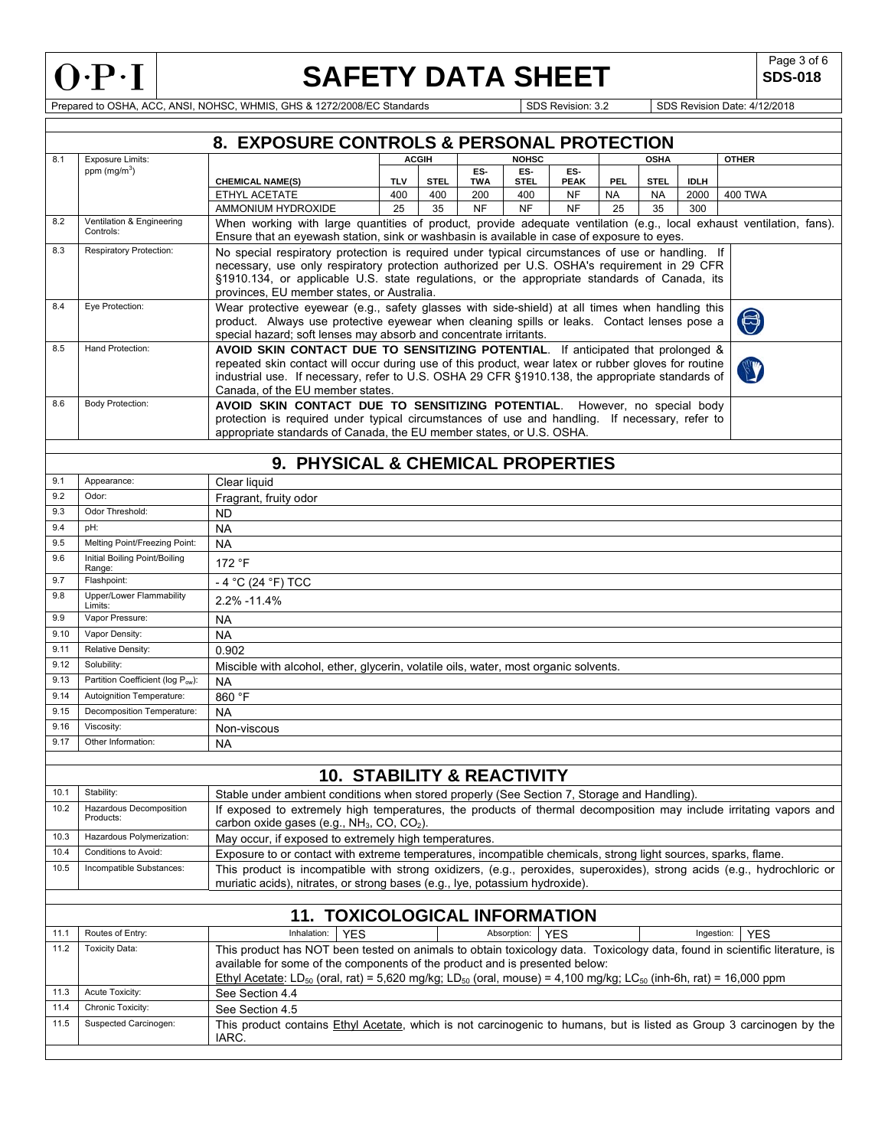

Г

# **SAFETY DATA SHEET** SDS-018

**SDS-018** 

Prepared to OSHA, ACC, ANSI, NOHSC, WHMIS, GHS & 1272/2008/EC Standards Superintendent Superintendent Superintendent Superintendent Superintendent Superintendent Superintendent Superintendent Superintendent Superintendent

|              | 8. EXPOSURE CONTROLS & PERSONAL PROTECTION                                   |                                                                                                                                                                                                                     |             |              |                   |                    |                    |           |             |             |                |
|--------------|------------------------------------------------------------------------------|---------------------------------------------------------------------------------------------------------------------------------------------------------------------------------------------------------------------|-------------|--------------|-------------------|--------------------|--------------------|-----------|-------------|-------------|----------------|
| 8.1          | <b>Exposure Limits:</b>                                                      |                                                                                                                                                                                                                     |             | <b>ACGIH</b> |                   | <b>NOHSC</b>       |                    |           | <b>OSHA</b> |             | <b>OTHER</b>   |
|              | ppm $(mg/m3)$                                                                | <b>CHEMICAL NAME(S)</b>                                                                                                                                                                                             | <b>TLV</b>  | <b>STEL</b>  | ES-<br><b>TWA</b> | ES-<br><b>STEL</b> | ES-<br><b>PEAK</b> | PEL       | <b>STEL</b> | <b>IDLH</b> |                |
|              |                                                                              | ETHYL ACETATE                                                                                                                                                                                                       | 400         | 400          | 200               | 400                | <b>NF</b>          | <b>NA</b> | <b>NA</b>   | 2000        | <b>400 TWA</b> |
|              |                                                                              | AMMONIUM HYDROXIDE                                                                                                                                                                                                  | 25          | 35           | <b>NF</b>         | <b>NF</b>          | <b>NF</b>          | 25        | 35          | 300         |                |
| 8.2          | Ventilation & Engineering<br>Controls:                                       | When working with large quantities of product, provide adequate ventilation (e.g., local exhaust ventilation, fans).<br>Ensure that an eyewash station, sink or washbasin is available in case of exposure to eyes. |             |              |                   |                    |                    |           |             |             |                |
| 8.3          | <b>Respiratory Protection:</b>                                               | No special respiratory protection is required under typical circumstances of use or handling. If                                                                                                                    |             |              |                   |                    |                    |           |             |             |                |
|              |                                                                              | necessary, use only respiratory protection authorized per U.S. OSHA's requirement in 29 CFR                                                                                                                         |             |              |                   |                    |                    |           |             |             |                |
|              |                                                                              | §1910.134, or applicable U.S. state regulations, or the appropriate standards of Canada, its<br>provinces, EU member states, or Australia.                                                                          |             |              |                   |                    |                    |           |             |             |                |
| 8.4          | Eye Protection:                                                              | Wear protective eyewear (e.g., safety glasses with side-shield) at all times when handling this                                                                                                                     |             |              |                   |                    |                    |           |             |             |                |
|              |                                                                              | product. Always use protective eyewear when cleaning spills or leaks. Contact lenses pose a                                                                                                                         |             |              |                   |                    |                    |           |             |             | $\bigcirc$     |
|              |                                                                              | special hazard; soft lenses may absorb and concentrate irritants.                                                                                                                                                   |             |              |                   |                    |                    |           |             |             |                |
| 8.5          | Hand Protection:                                                             | AVOID SKIN CONTACT DUE TO SENSITIZING POTENTIAL. If anticipated that prolonged &                                                                                                                                    |             |              |                   |                    |                    |           |             |             |                |
|              |                                                                              | repeated skin contact will occur during use of this product, wear latex or rubber gloves for routine<br>industrial use. If necessary, refer to U.S. OSHA 29 CFR §1910.138, the appropriate standards of             |             |              |                   |                    |                    |           |             |             |                |
|              |                                                                              | Canada, of the EU member states.                                                                                                                                                                                    |             |              |                   |                    |                    |           |             |             |                |
| 8.6          | Body Protection:                                                             | AVOID SKIN CONTACT DUE TO SENSITIZING POTENTIAL. However, no special body                                                                                                                                           |             |              |                   |                    |                    |           |             |             |                |
|              |                                                                              | protection is required under typical circumstances of use and handling. If necessary, refer to                                                                                                                      |             |              |                   |                    |                    |           |             |             |                |
|              |                                                                              | appropriate standards of Canada, the EU member states, or U.S. OSHA.                                                                                                                                                |             |              |                   |                    |                    |           |             |             |                |
|              |                                                                              | 9. PHYSICAL & CHEMICAL PROPERTIES                                                                                                                                                                                   |             |              |                   |                    |                    |           |             |             |                |
| 9.1          | Appearance:                                                                  |                                                                                                                                                                                                                     |             |              |                   |                    |                    |           |             |             |                |
| 9.2          | Odor:                                                                        | Clear liquid<br>Fragrant, fruity odor                                                                                                                                                                               |             |              |                   |                    |                    |           |             |             |                |
| 9.3          | Odor Threshold:                                                              | <b>ND</b>                                                                                                                                                                                                           |             |              |                   |                    |                    |           |             |             |                |
| 9.4          | pH:                                                                          | <b>NA</b>                                                                                                                                                                                                           |             |              |                   |                    |                    |           |             |             |                |
| 9.5          | Melting Point/Freezing Point:                                                | <b>NA</b>                                                                                                                                                                                                           |             |              |                   |                    |                    |           |             |             |                |
| 9.6          | Initial Boiling Point/Boiling                                                | 172 °F                                                                                                                                                                                                              |             |              |                   |                    |                    |           |             |             |                |
| 9.7          | Range:<br>Flashpoint:                                                        |                                                                                                                                                                                                                     |             |              |                   |                    |                    |           |             |             |                |
| 9.8          | Upper/Lower Flammability                                                     | $-4$ °C (24 °F) TCC                                                                                                                                                                                                 |             |              |                   |                    |                    |           |             |             |                |
|              | Limits:                                                                      | 2.2% -11.4%                                                                                                                                                                                                         |             |              |                   |                    |                    |           |             |             |                |
| 9.9          | Vapor Pressure:                                                              | NA                                                                                                                                                                                                                  |             |              |                   |                    |                    |           |             |             |                |
| 9.10         | Vapor Density:                                                               | <b>NA</b>                                                                                                                                                                                                           |             |              |                   |                    |                    |           |             |             |                |
| 9.11         | Relative Density:                                                            | 0.902                                                                                                                                                                                                               |             |              |                   |                    |                    |           |             |             |                |
| 9.12<br>9.13 | Solubility:<br>Partition Coefficient (log Pow):                              | Miscible with alcohol, ether, glycerin, volatile oils, water, most organic solvents.                                                                                                                                |             |              |                   |                    |                    |           |             |             |                |
| 9.14         | Autoignition Temperature:                                                    | <b>NA</b><br>860 °F                                                                                                                                                                                                 |             |              |                   |                    |                    |           |             |             |                |
| 9.15         | Decomposition Temperature:                                                   |                                                                                                                                                                                                                     |             |              |                   |                    |                    |           |             |             |                |
| 9.16         | Viscosity:                                                                   |                                                                                                                                                                                                                     | <b>NA</b>   |              |                   |                    |                    |           |             |             |                |
| 9.17         | Other Information:                                                           | <b>NA</b>                                                                                                                                                                                                           | Non-viscous |              |                   |                    |                    |           |             |             |                |
|              |                                                                              |                                                                                                                                                                                                                     |             |              |                   |                    |                    |           |             |             |                |
|              |                                                                              | <b>10. STABILITY &amp; REACTIVITY</b>                                                                                                                                                                               |             |              |                   |                    |                    |           |             |             |                |
| 10.1         | Stability:                                                                   | Stable under ambient conditions when stored properly (See Section 7, Storage and Handling).                                                                                                                         |             |              |                   |                    |                    |           |             |             |                |
| 10.2         | Hazardous Decomposition                                                      | If exposed to extremely high temperatures, the products of thermal decomposition may include irritating vapors and                                                                                                  |             |              |                   |                    |                    |           |             |             |                |
|              | Products:                                                                    | carbon oxide gases (e.g., NH <sub>3</sub> , CO, CO <sub>2</sub> ).                                                                                                                                                  |             |              |                   |                    |                    |           |             |             |                |
| 10.3         | Hazardous Polymerization:                                                    | May occur, if exposed to extremely high temperatures.                                                                                                                                                               |             |              |                   |                    |                    |           |             |             |                |
| 10.4         | Conditions to Avoid:                                                         | Exposure to or contact with extreme temperatures, incompatible chemicals, strong light sources, sparks, flame.                                                                                                      |             |              |                   |                    |                    |           |             |             |                |
| 10.5         | Incompatible Substances:                                                     | This product is incompatible with strong oxidizers, (e.g., peroxides, superoxides), strong acids (e.g., hydrochloric or                                                                                             |             |              |                   |                    |                    |           |             |             |                |
|              | muriatic acids), nitrates, or strong bases (e.g., lye, potassium hydroxide). |                                                                                                                                                                                                                     |             |              |                   |                    |                    |           |             |             |                |
|              |                                                                              |                                                                                                                                                                                                                     |             |              |                   |                    |                    |           |             |             |                |
| 11.1         | Routes of Entry:                                                             | <b>11. TOXICOLOGICAL INFORMATION</b><br>Inhalation:<br><b>YES</b>                                                                                                                                                   |             |              |                   | Absorption:        |                    |           |             | Ingestion:  |                |
| 11.2         | <b>Toxicity Data:</b>                                                        |                                                                                                                                                                                                                     |             |              |                   |                    | <b>YES</b>         |           |             |             | <b>YES</b>     |
|              |                                                                              | This product has NOT been tested on animals to obtain toxicology data. Toxicology data, found in scientific literature, is<br>available for some of the components of the product and is presented below:           |             |              |                   |                    |                    |           |             |             |                |
|              |                                                                              | Ethyl Acetate: LD <sub>50</sub> (oral, rat) = 5,620 mg/kg; LD <sub>50</sub> (oral, mouse) = 4,100 mg/kg; LC <sub>50</sub> (inh-6h, rat) = 16,000 ppm                                                                |             |              |                   |                    |                    |           |             |             |                |
| 11.3         | Acute Toxicity:                                                              | See Section 4.4                                                                                                                                                                                                     |             |              |                   |                    |                    |           |             |             |                |
| 11.4         | Chronic Toxicity:                                                            | See Section 4.5                                                                                                                                                                                                     |             |              |                   |                    |                    |           |             |             |                |
| 11.5         | Suspected Carcinogen:                                                        | This product contains Ethyl Acetate, which is not carcinogenic to humans, but is listed as Group 3 carcinogen by the                                                                                                |             |              |                   |                    |                    |           |             |             |                |
|              |                                                                              | IARC.                                                                                                                                                                                                               |             |              |                   |                    |                    |           |             |             |                |
|              |                                                                              |                                                                                                                                                                                                                     |             |              |                   |                    |                    |           |             |             |                |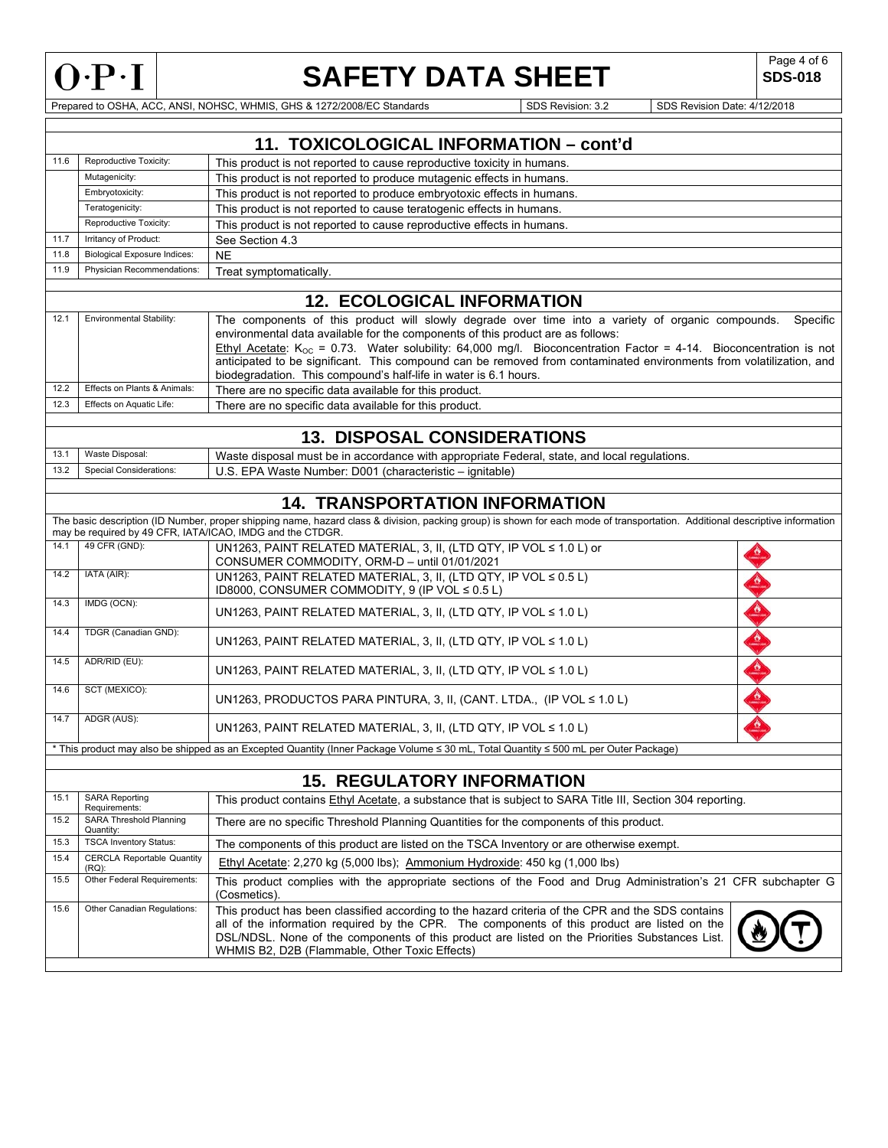

 $\Gamma$ 

# **SAFETY DATA SHEET** SDS-018

**SDS-018** 

Prepared to OSHA, ACC, ANSI, NOHSC, WHMIS, GHS & 1272/2008/EC Standards Superintendence Superintendent SDS Revision: 3.2 SDS Revision Date: 4/12/2018

|      |                                            | 11. TOXICOLOGICAL INFORMATION - cont'd                                                                                                                                                                                                                                                                                                                                                                                                            |  |  |  |
|------|--------------------------------------------|---------------------------------------------------------------------------------------------------------------------------------------------------------------------------------------------------------------------------------------------------------------------------------------------------------------------------------------------------------------------------------------------------------------------------------------------------|--|--|--|
| 11.6 | Reproductive Toxicity:                     | This product is not reported to cause reproductive toxicity in humans.                                                                                                                                                                                                                                                                                                                                                                            |  |  |  |
|      | Mutagenicity:                              | This product is not reported to produce mutagenic effects in humans.                                                                                                                                                                                                                                                                                                                                                                              |  |  |  |
|      | Embryotoxicity:                            | This product is not reported to produce embryotoxic effects in humans.                                                                                                                                                                                                                                                                                                                                                                            |  |  |  |
|      | Teratogenicity:                            | This product is not reported to cause teratogenic effects in humans.                                                                                                                                                                                                                                                                                                                                                                              |  |  |  |
|      | Reproductive Toxicity:                     | This product is not reported to cause reproductive effects in humans.                                                                                                                                                                                                                                                                                                                                                                             |  |  |  |
| 11.7 | Irritancy of Product:                      | See Section 4.3                                                                                                                                                                                                                                                                                                                                                                                                                                   |  |  |  |
| 11.8 | <b>Biological Exposure Indices:</b>        | <b>NE</b>                                                                                                                                                                                                                                                                                                                                                                                                                                         |  |  |  |
| 11.9 | Physician Recommendations:                 | Treat symptomatically.                                                                                                                                                                                                                                                                                                                                                                                                                            |  |  |  |
|      |                                            |                                                                                                                                                                                                                                                                                                                                                                                                                                                   |  |  |  |
|      |                                            | <b>12. ECOLOGICAL INFORMATION</b>                                                                                                                                                                                                                                                                                                                                                                                                                 |  |  |  |
| 12.1 | Environmental Stability:                   | The components of this product will slowly degrade over time into a variety of organic compounds.<br>Specific<br>environmental data available for the components of this product are as follows:<br>Ethyl Acetate: $K_{OC}$ = 0.73. Water solubility: 64,000 mg/l. Bioconcentration Factor = 4-14. Bioconcentration is not<br>anticipated to be significant. This compound can be removed from contaminated environments from volatilization, and |  |  |  |
| 12.2 | Effects on Plants & Animals:               | biodegradation. This compound's half-life in water is 6.1 hours.<br>There are no specific data available for this product.                                                                                                                                                                                                                                                                                                                        |  |  |  |
| 12.3 | Effects on Aquatic Life:                   | There are no specific data available for this product.                                                                                                                                                                                                                                                                                                                                                                                            |  |  |  |
|      |                                            |                                                                                                                                                                                                                                                                                                                                                                                                                                                   |  |  |  |
|      |                                            | <b>13. DISPOSAL CONSIDERATIONS</b>                                                                                                                                                                                                                                                                                                                                                                                                                |  |  |  |
| 13.1 | Waste Disposal:                            | Waste disposal must be in accordance with appropriate Federal, state, and local regulations.                                                                                                                                                                                                                                                                                                                                                      |  |  |  |
| 13.2 | <b>Special Considerations:</b>             | U.S. EPA Waste Number: D001 (characteristic - ignitable)                                                                                                                                                                                                                                                                                                                                                                                          |  |  |  |
|      |                                            |                                                                                                                                                                                                                                                                                                                                                                                                                                                   |  |  |  |
|      |                                            | <b>14. TRANSPORTATION INFORMATION</b>                                                                                                                                                                                                                                                                                                                                                                                                             |  |  |  |
|      |                                            | The basic description (ID Number, proper shipping name, hazard class & division, packing group) is shown for each mode of transportation. Additional descriptive information                                                                                                                                                                                                                                                                      |  |  |  |
|      |                                            | may be required by 49 CFR, IATA/ICAO, IMDG and the CTDGR.                                                                                                                                                                                                                                                                                                                                                                                         |  |  |  |
| 14.1 | 49 CFR (GND):                              | UN1263, PAINT RELATED MATERIAL, 3, II, (LTD QTY, IP VOL ≤ 1.0 L) or<br>CONSUMER COMMODITY, ORM-D - until 01/01/2021                                                                                                                                                                                                                                                                                                                               |  |  |  |
| 14.2 | IATA (AIR):                                | UN1263, PAINT RELATED MATERIAL, 3, II, (LTD QTY, IP VOL ≤ 0.5 L)<br>ID8000, CONSUMER COMMODITY, 9 (IP VOL ≤ 0.5 L)                                                                                                                                                                                                                                                                                                                                |  |  |  |
| 14.3 | IMDG (OCN):                                | UN1263, PAINT RELATED MATERIAL, 3, II, (LTD QTY, IP VOL $\leq 1.0$ L)                                                                                                                                                                                                                                                                                                                                                                             |  |  |  |
| 14.4 | TDGR (Canadian GND):                       | UN1263, PAINT RELATED MATERIAL, 3, II, (LTD QTY, IP VOL $\leq 1.0$ L)                                                                                                                                                                                                                                                                                                                                                                             |  |  |  |
| 14.5 | ADR/RID (EU):                              | UN1263, PAINT RELATED MATERIAL, 3, II, (LTD QTY, IP VOL $\leq 1.0$ L)                                                                                                                                                                                                                                                                                                                                                                             |  |  |  |
| 14.6 | SCT (MEXICO):                              | UN1263, PRODUCTOS PARA PINTURA, 3, II, (CANT. LTDA., (IP VOL $\leq 1.0$ L)                                                                                                                                                                                                                                                                                                                                                                        |  |  |  |
| 14.7 | ADGR (AUS):                                | UN1263, PAINT RELATED MATERIAL, 3, II, (LTD QTY, IP VOL $\leq 1.0$ L)                                                                                                                                                                                                                                                                                                                                                                             |  |  |  |
|      |                                            | * This product may also be shipped as an Excepted Quantity (Inner Package Volume ≤ 30 mL, Total Quantity ≤ 500 mL per Outer Package)                                                                                                                                                                                                                                                                                                              |  |  |  |
|      |                                            | <b>15. REGULATORY INFORMATION</b>                                                                                                                                                                                                                                                                                                                                                                                                                 |  |  |  |
| 15.1 | <b>SARA Reporting</b><br>Requirements:     | This product contains Ethyl Acetate, a substance that is subject to SARA Title III, Section 304 reporting.                                                                                                                                                                                                                                                                                                                                        |  |  |  |
| 15.2 | SARA Threshold Planning<br>Quantity:       | There are no specific Threshold Planning Quantities for the components of this product.                                                                                                                                                                                                                                                                                                                                                           |  |  |  |
| 15.3 | <b>TSCA Inventory Status:</b>              | The components of this product are listed on the TSCA Inventory or are otherwise exempt.                                                                                                                                                                                                                                                                                                                                                          |  |  |  |
| 15.4 | <b>CERCLA Reportable Quantity</b><br>(RQ): | Ethyl Acetate: 2,270 kg (5,000 lbs); Ammonium Hydroxide: 450 kg (1,000 lbs)                                                                                                                                                                                                                                                                                                                                                                       |  |  |  |
| 15.5 | Other Federal Requirements:                | This product complies with the appropriate sections of the Food and Drug Administration's 21 CFR subchapter G<br>(Cosmetics).                                                                                                                                                                                                                                                                                                                     |  |  |  |
| 15.6 | Other Canadian Regulations:                | This product has been classified according to the hazard criteria of the CPR and the SDS contains<br>all of the information required by the CPR. The components of this product are listed on the<br>DSL/NDSL. None of the components of this product are listed on the Priorities Substances List.<br>WHMIS B2, D2B (Flammable, Other Toxic Effects)                                                                                             |  |  |  |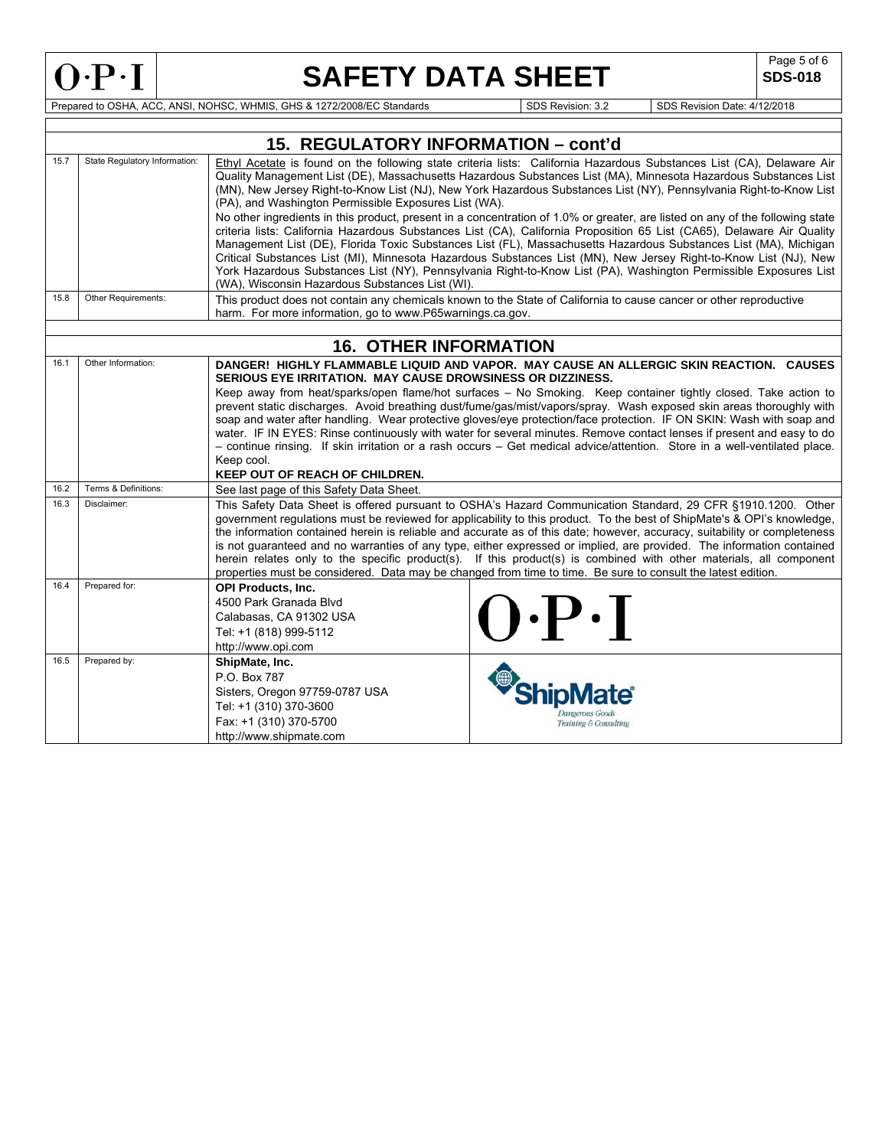$\Gamma$ 

# **SAFETY DATA SHEET** SDS-018

**SDS-018** 

٦

Prepared to OSHA, ACC, ANSI, NOHSC, WHMIS, GHS & 1272/2008/EC Standards Superintendent Superintendent Superintendent SDS Revision: 3.2 SDS Revision Date: 4/12/2018

|      |                               | 15. REGULATORY INFORMATION - cont'd                                                                                                                                                                                                                                                                                                                                                                                                                                                                                                                                                                                                                                                                                                 |  |  |  |  |  |
|------|-------------------------------|-------------------------------------------------------------------------------------------------------------------------------------------------------------------------------------------------------------------------------------------------------------------------------------------------------------------------------------------------------------------------------------------------------------------------------------------------------------------------------------------------------------------------------------------------------------------------------------------------------------------------------------------------------------------------------------------------------------------------------------|--|--|--|--|--|
| 15.7 | State Regulatory Information: | Ethyl Acetate is found on the following state criteria lists: California Hazardous Substances List (CA), Delaware Air<br>Quality Management List (DE), Massachusetts Hazardous Substances List (MA), Minnesota Hazardous Substances List<br>(MN), New Jersey Right-to-Know List (NJ), New York Hazardous Substances List (NY), Pennsylvania Right-to-Know List<br>(PA), and Washington Permissible Exposures List (WA).                                                                                                                                                                                                                                                                                                             |  |  |  |  |  |
|      |                               | No other ingredients in this product, present in a concentration of 1.0% or greater, are listed on any of the following state<br>criteria lists: California Hazardous Substances List (CA), California Proposition 65 List (CA65), Delaware Air Quality<br>Management List (DE), Florida Toxic Substances List (FL), Massachusetts Hazardous Substances List (MA), Michigan<br>Critical Substances List (MI), Minnesota Hazardous Substances List (MN), New Jersey Right-to-Know List (NJ), New<br>York Hazardous Substances List (NY), Pennsylvania Right-to-Know List (PA), Washington Permissible Exposures List<br>(WA), Wisconsin Hazardous Substances List (WI).                                                              |  |  |  |  |  |
| 15.8 | Other Requirements:           | This product does not contain any chemicals known to the State of California to cause cancer or other reproductive<br>harm. For more information, go to www.P65warnings.ca.gov.                                                                                                                                                                                                                                                                                                                                                                                                                                                                                                                                                     |  |  |  |  |  |
|      |                               |                                                                                                                                                                                                                                                                                                                                                                                                                                                                                                                                                                                                                                                                                                                                     |  |  |  |  |  |
|      |                               | <b>16. OTHER INFORMATION</b>                                                                                                                                                                                                                                                                                                                                                                                                                                                                                                                                                                                                                                                                                                        |  |  |  |  |  |
| 16.1 | Other Information:            | DANGER! HIGHLY FLAMMABLE LIQUID AND VAPOR. MAY CAUSE AN ALLERGIC SKIN REACTION. CAUSES<br>SERIOUS EYE IRRITATION. MAY CAUSE DROWSINESS OR DIZZINESS.<br>Keep away from heat/sparks/open flame/hot surfaces - No Smoking. Keep container tightly closed. Take action to<br>prevent static discharges. Avoid breathing dust/fume/gas/mist/vapors/spray. Wash exposed skin areas thoroughly with<br>soap and water after handling. Wear protective gloves/eye protection/face protection. IF ON SKIN: Wash with soap and                                                                                                                                                                                                               |  |  |  |  |  |
|      |                               | water. IF IN EYES: Rinse continuously with water for several minutes. Remove contact lenses if present and easy to do<br>- continue rinsing. If skin irritation or a rash occurs - Get medical advice/attention. Store in a well-ventilated place.<br>Keep cool.<br><b>KEEP OUT OF REACH OF CHILDREN.</b>                                                                                                                                                                                                                                                                                                                                                                                                                           |  |  |  |  |  |
| 16.2 | Terms & Definitions:          | See last page of this Safety Data Sheet.                                                                                                                                                                                                                                                                                                                                                                                                                                                                                                                                                                                                                                                                                            |  |  |  |  |  |
| 16.3 | Disclaimer:                   | This Safety Data Sheet is offered pursuant to OSHA's Hazard Communication Standard, 29 CFR §1910.1200. Other<br>government regulations must be reviewed for applicability to this product. To the best of ShipMate's & OPI's knowledge,<br>the information contained herein is reliable and accurate as of this date; however, accuracy, suitability or completeness<br>is not guaranteed and no warranties of any type, either expressed or implied, are provided. The information contained<br>herein relates only to the specific product(s). If this product(s) is combined with other materials, all component<br>properties must be considered. Data may be changed from time to time. Be sure to consult the latest edition. |  |  |  |  |  |
| 16.4 | Prepared for:                 | <b>OPI Products, Inc.</b><br>4500 Park Granada Blvd<br>$() \cdot P \cdot I$<br>Calabasas, CA 91302 USA<br>Tel: +1 (818) 999-5112<br>http://www.opi.com                                                                                                                                                                                                                                                                                                                                                                                                                                                                                                                                                                              |  |  |  |  |  |
| 16.5 | Prepared by:                  | ShipMate, Inc.<br>P.O. Box 787<br>Sisters, Oregon 97759-0787 USA<br>Tel: +1 (310) 370-3600<br>Fax: +1 (310) 370-5700<br>Training & Consulting<br>http://www.shipmate.com                                                                                                                                                                                                                                                                                                                                                                                                                                                                                                                                                            |  |  |  |  |  |